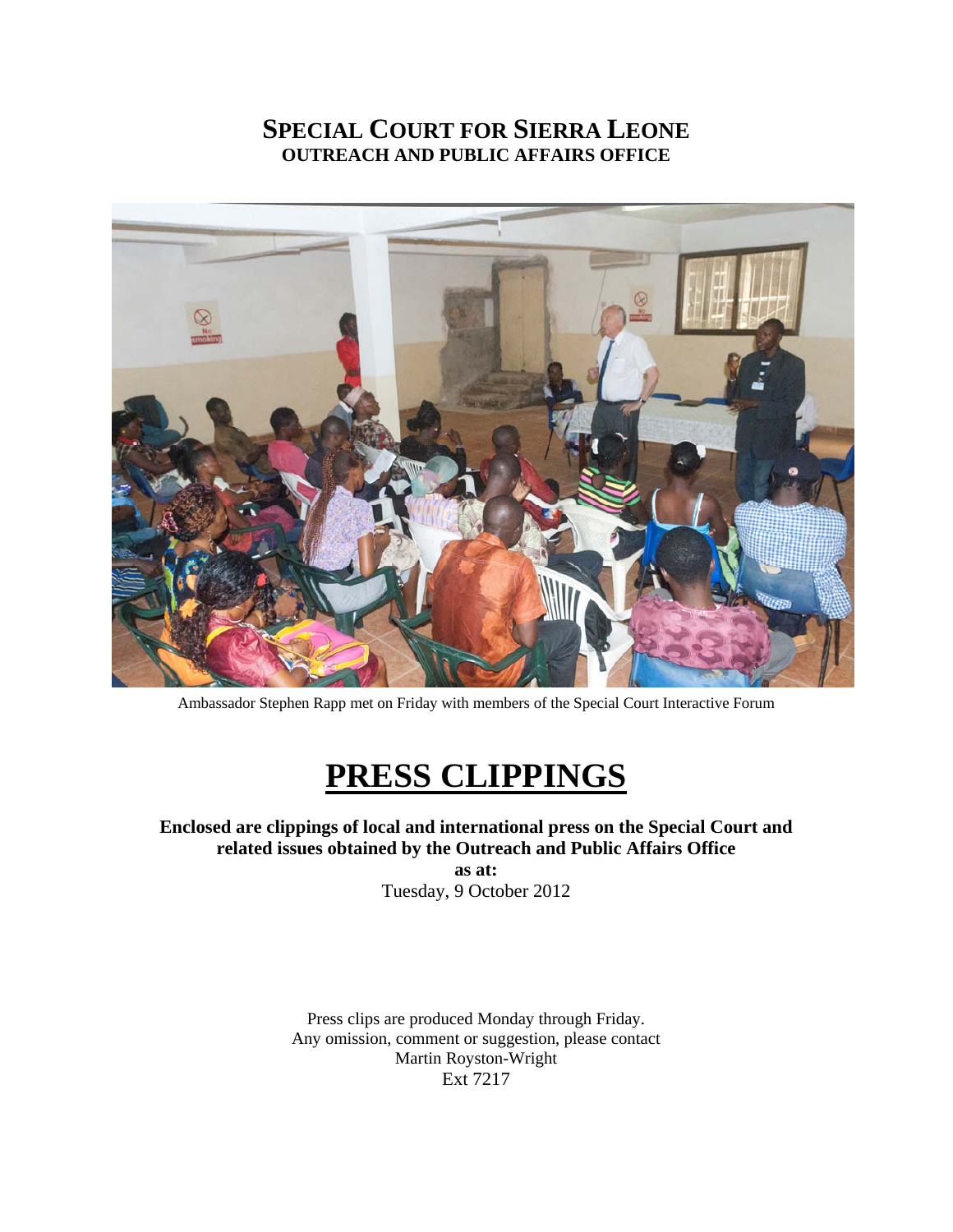## **SPECIAL COURT FOR SIERRA LEONE OUTREACH AND PUBLIC AFFAIRS OFFICE**



Ambassador Stephen Rapp met on Friday with members of the Special Court Interactive Forum

# **PRESS CLIPPINGS**

## **Enclosed are clippings of local and international press on the Special Court and related issues obtained by the Outreach and Public Affairs Office**

**as at:**  Tuesday, 9 October 2012

Press clips are produced Monday through Friday. Any omission, comment or suggestion, please contact Martin Royston-Wright Ext 7217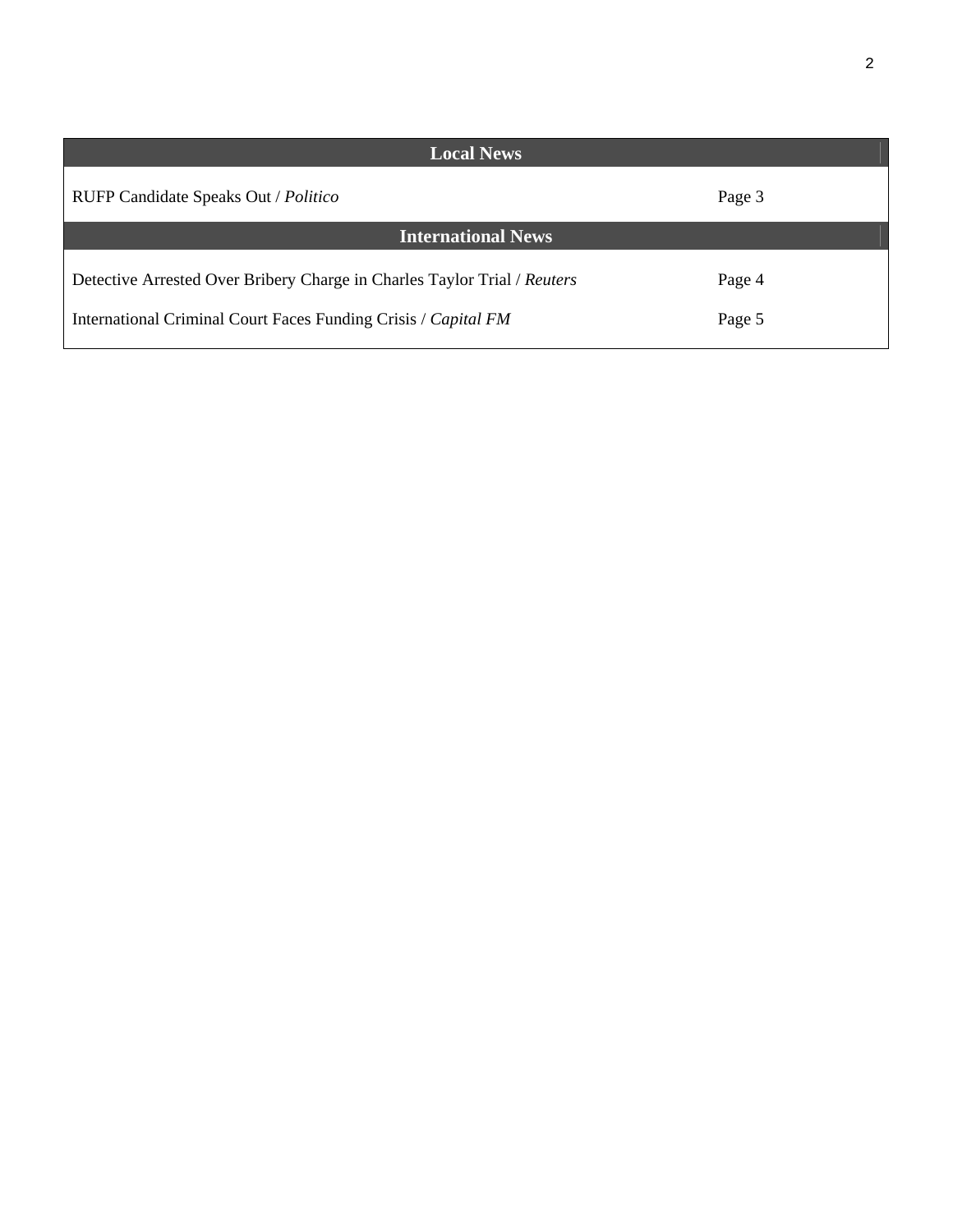| <b>Local News</b>                                                        |        |
|--------------------------------------------------------------------------|--------|
| RUFP Candidate Speaks Out / Politico                                     | Page 3 |
| <b>International News</b>                                                |        |
| Detective Arrested Over Bribery Charge in Charles Taylor Trial / Reuters | Page 4 |
| International Criminal Court Faces Funding Crisis / Capital FM           | Page 5 |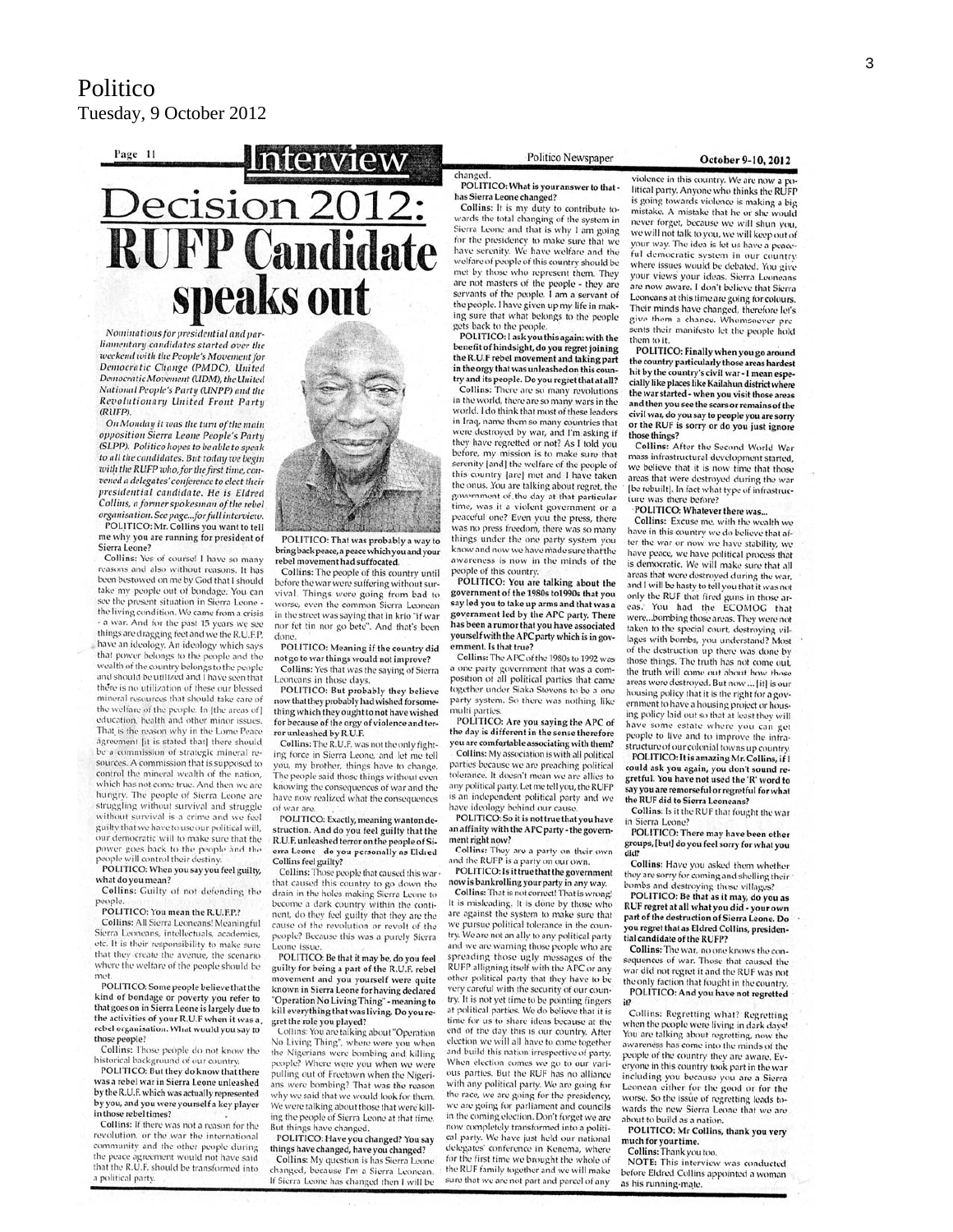# Page 11 Interview Decision 2012: **RUFP Candidate** speaks out

Nominations for presidential and parliamentary candidates started over the weekend with the People's Movement for<br>Democratic Change (PMDC), United Democratic Movement (UDM), the United National People's Party (UNPP) and the Revolutionary United Front Party (RUFP).

On Monday it was the turn of the main opposition Sierra Leone People's Party (SLPP). Politico hopes to be able to speak to all the candidates. But today we begin with the RUFP who, for the first time, convened a delegates' conference to elect their presidential candidate. He is Eldred Collins, a former spokesman of the rebel organisation. See page...for full interview.<br>POLITICO: Mr. Collins you want to tell me why you are running for president of<br>Sierra Leone?

Collins: Yes of course! I have so many reasons and also without reasons. It has<br>been bestowed on me by God that I should take my people out of bondage. You can see the present situation in Sierra Leone the living condition. We came from a crisis a war. And for the past 15 years we see things are dragging feet and we the R.U.F.P. have an ideology. An ideology which says that power belongs to the people and the wealth of the country belongs to the people and should be utilized and I have seen that there is no utilization of these our blessed mineral resources that should take care of the welfare of the people. In [the areas of]<br>education, health and other minor issues. That is the reason why in the Lome Peace<br>agreement [it is stated that] there should be a commission of strategic mineral resources. A commission that is supposed to control the mineral wealth of the nation, which has not come true. And then we are hungry. The people of Sierra Leone are<br>struggling without survival and struggle without survival is a crime and we feel guilty that we have to use our political will. our democratic will to make sure that the power goes back to the people and the<br>people will control their destiny.

POLITICO: When you say you feel guilty, what do you mean?

Collins: Guilty of not defending the people

POLITICO: You mean the R.U.F.P.?

Collins: All Sierra Leoneans! Meaningful<br>Sierra Leoneans, intellectuals, academics, etc. It is their responsibility to make sure that they create the avenue, the scenario where the welfare of the people should be met

POLITICO: Some people believe that the kind of bondage or poverty you refer to<br>that goes on in Sierra Leone is largely due to the activities of your R.U.F when it was a rebel organisation. What would you say to those people?

Collins: Those people do not know the orical background of our country.

POLITICO: But they do know that there was a rebel war in Sierra Leone unleashed by the R.U.F. which was actually represented by you, and you were yourself a key player in those rebel times?

Collins: If there was not a reason for the revolution, or the war the international community and the other people during the peace agreement would not have said that the R.U.F. should be transformed into a political party.



POLITICO: That was probably a way to bring back peace, a peace which you and your rebel movement had suffocated.

Collins: The people of this country until before the war were suffering without survival. Things were going from bad to<br>worse, even the common Sierra Leonean in the street was saying that in krio "if war nor fet tin nor go bete". And that's been

POLITICO: Meaning if the country did not go to war things would not improve? Collins: Yes that was the saying of Sierra Leoneans in those days.

POLITICO: But probably they believe now that they probably had wished for some-<br>thing which they ought to not have wished for because of the orgy of violence and terror unleashed by R.U.F.

Collins: The R.U.F. was not the only fighting force in Sierra Leone, and let me tell<br>you, my brother, things have to change. The people said those things without even knowing the consequences of war and the<br>have now realized what the consequences of war are

POLITICO: Exactly, meaning wanton destruction. And do you feel guilty that the R.U.F. unleashed terror on the people of Sierra Leone - do you personally as Eldred Collins feel guilty?

Collins: Those people that caused this war-<br>that caused this country to go down the drain in the holes making Sierra Leone to become a dark country within the continent, do they feel guilty that they are the<br>cause of the revolution or revolt of the eople? Because this was a purely Sierra cone issue

POLITICO: Be that it may be, do you feel guilty for being a part of the R.U.F. rebel movement and you yourself were quite<br>known in Sierra Leone for having declared "Operation No Living Thing" - meaning to kill everything that was living. Do you regret the role you played?<br>Collins: You are talking about "Operation"

No Living Thing", where were you when<br>the Nigerians were bombing and killing people? Where were you when we were pulling out of Freetown when the Nigerins were bombing? That was the reason why we said that we would look for them.<br>We were talking about those that were killing the people of Sierra Leone at that time. But things have changed.

POLITICO: Have you changed? You say things have changed, have you changed?

Collins: My question is has Sierra Leone changed, because I'm a Sierra Leonean.<br>If Sierra Leone has changed then I will be Politico Newspaper

#### changed.<br>POLITICO: What is your answer to that has Sierra Leone changed?

Collins: It is my duty to contribute to-<br>wards the total changing of the system in Sierra Leone and that is why I am going for the presidency to make sure that we have serenity. We have welfare and the welfare of people of this country should be met by those who represent them. They are not masters of the people - they are<br>servants of the people. I am a servant of the people. I have given up my life in making sure that what belongs to the people<br>gets back to the people.

POLITICO: I ask you this again: with the benefit of hindsight, do you regret joining<br>the R.U.F rebel movement and taking part in the orgy that was unleashed on this coun try and its people. Do you regret that at all? Collins: There are so many revolutions in the world, there are so many wars in the world. I do think that most of these leaders in Iraq, name them so many countries that<br>were destroyed by war, and I'm asking if they have regretted or not? As I told you before, my mission is to make sure that serenity [and] the welfare of the people of this country [are] met and I have taken the onus. You are talking about regret, the government of the day at that particular time, was it a violent government or a peaceful one? Even you the press, there

was no press freedom, there was so many things under the one party system you know and now we have made sure that the awareness is now in the minds of the people of this country. POLITICO: You are talking about the

government of the 1980s to1990s that you say led you to take up arms and that was a government led by the APC party. There<br>has been a rumor that you have associated yourself with the APC party which is in government. Is that true?

Collins: The APC of the 1980s to 1992 was a one party government that was a com-<br>position of all political parties that came together under Siaka Stevens to be a one party system. So there was nothing like multi parties.

POLITICO: Are you saying the APC of the day is different in the sense therefore you are comfortable associating with them? Collins: My association is with all political parties because we are preaching political tolerance. It doesn't mean we are allies to any political party. Let me tell you, the RUFP

is an independent political party and we have ideology behind our cause.<br>POLITICO: So it is not true that you have an affinity with the APC party - the government right now?

Collins: They are a party on their own<br>and the RUFP is a party on our own.<br>POLITICO: Is it true that the government

now is bankrolling your party in any way.

Collins: That is not correct! That is wrong! It is misleading. It is done by those who are against the system to make sure that<br>we pursue political tolerance in the country. We are not an ally to any political party and we are warning those people who are<br>spreading those ugly messages of the RUFP alligning itself with the APC or any other political party that they have to be very careful with the security of our country. It is not yet time to be pointing fingers at political parties. We do believe that it is time for us to share ideas because at the end of the day this is our country. After election we will all have to come together and build this nation irrespective of party. When election comes we go to our vari-<br>ous parties. But the RUF has no alliance with any political party. We are going for the race, we are going for the presidency,<br>we are going for parliament and councils in the coming election. Don't forget we are now completely transformed into a politirow completely transformed movie point-<br>cal party. We have just held our national<br>delegates' conference in Kenema, where for the first time we brought the whole of the RUF family together and we will make sure that we are not part and parcel of any

#### October 9-10, 2012

violence in this country. We are now a political party. Anyone who thinks the RUFP is going towards violence is making a big mistake. A mistake that he or she would never forget, because we will shun you, we will not talk to you, we will keep out of your way. The idea is let us have a peaceful democratic system in our country where issues would be debated. You give your views your ideas. Sierra Leoneans are now aware. I don't believe that Sierra Leoneans at this time are going for colours. Their minds have changed, therefore let's give them a chance. Whomsoever prethem to it.

POLITICO: Finally when you go around the country particularly those areas hardest hit by the country's civil war - I mean espe-<br>cially like places like Kailahun district where the war started - when you visit those areas and then you see the scars or remains of the civil war, do you say to people you are sorry or the RUF is sorry or do you just ignore those things?

Collins: After the Second World War mass infrastructural development started,<br>we believe that it is now time that those areas that were destroyed during the war<br>[be rebuilt]. In fact what type of infrastrucwas there before?

#### POLITICO: Whatever there was...

Collins: Excuse me, with the wealth we have in this country we do believe that after the war or now we have stability, we have peace, we have political process that is democratic. We will make sure that all areas that were destroyed during the war. and I will be hasty to tell you that it was not only the RUF that fired guns in those areas. You had the ECOMOG that eas. Four had the ECOMOG that<br>were...bombing those areas. They were not<br>taken to the special court, destroying villages with bombs, you understand? Most of the destruction up there was done by those things. The truth has not come out, the truth will come out about how those areas were destroyed. But now ... [it] is our housing policy that it is the right for a government to have a housing project or housing policy laid out so that at least they will have some estate where you can get people to live and to improve the infrastructure of our colonial towns up country.

POLITICO: It is amazing Mr. Collins, if I could ask you again, you don't sound regretful. You have not used the 'R' word to say you are remorseful or regretful for what the RUF did to Sierra Leoneans?

Collins: Is it the RUF that fought the war Sierra Leone?

POLITICO: There may have been other groups, [but] do you feel sorry for what you<br>did?

Collins: Have you asked them whether they are sorry for coming and shelling their bombs and destroying those villages?

#### POLITICO: Be that as it may, do you as RUF regret at all what you did - your own<br>part of the destruction of Sierra Leone. Do ou regret that as Eldred Collins, presidential candidate of the RUFP?

Collins: The war, no one knows the consequences of war. Those that caused the war did not regret it and the RUF was not the only faction that fought in the country. POLITICO: And you have not regretted

Collins: Regretting what? Regretting when the people were living in dark days! You are talking about regretting, now the awareness has come into the minds of the people of the country they are aware. Evervone in this country took part in the war including you because you are a Sierra Leonean either for the good or for the worse. So the issue of regretting leads towards the new Sierra Leone that we are about to build as a nation.

POLITICO: Mr Collins, thank you very much for your time. Collins: Thank you too.

NOTE: This interview was conducted before Eldred Collins appointed a woman as his running-mate.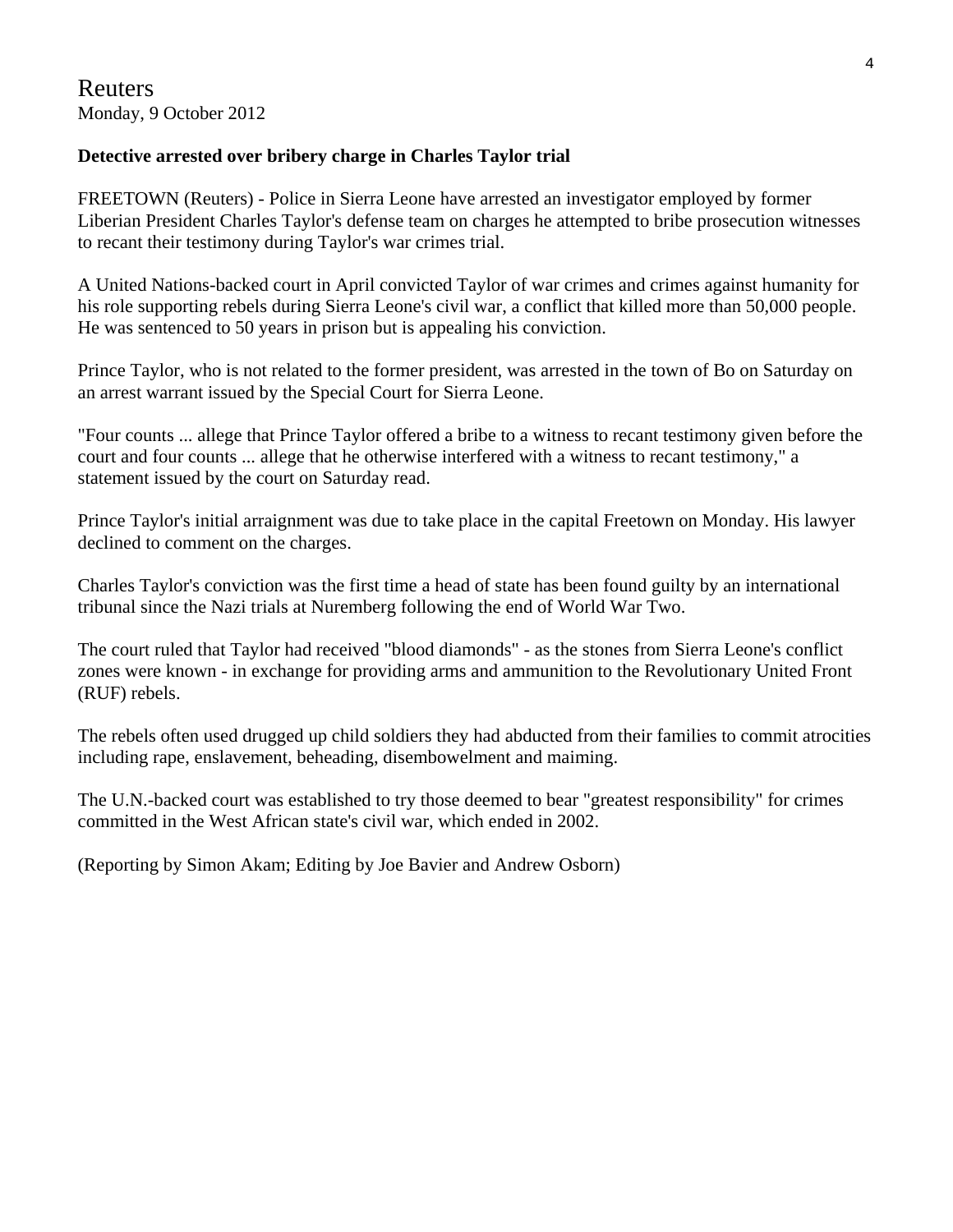## **Detective arrested over bribery charge in Charles Taylor trial**

FREETOWN (Reuters) - Police in Sierra Leone have arrested an investigator employed by former Liberian President Charles Taylor's defense team on charges he attempted to bribe prosecution witnesses to recant their testimony during Taylor's war crimes trial.

A United Nations-backed court in April convicted Taylor of war crimes and crimes against humanity for his role supporting rebels during Sierra Leone's civil war, a conflict that killed more than 50,000 people. He was sentenced to 50 years in prison but is appealing his conviction.

Prince Taylor, who is not related to the former president, was arrested in the town of Bo on Saturday on an arrest warrant issued by the Special Court for Sierra Leone.

"Four counts ... allege that Prince Taylor offered a bribe to a witness to recant testimony given before the court and four counts ... allege that he otherwise interfered with a witness to recant testimony," a statement issued by the court on Saturday read.

Prince Taylor's initial arraignment was due to take place in the capital Freetown on Monday. His lawyer declined to comment on the charges.

Charles Taylor's conviction was the first time a head of state has been found guilty by an international tribunal since the Nazi trials at Nuremberg following the end of World War Two.

The court ruled that Taylor had received "blood diamonds" - as the stones from Sierra Leone's conflict zones were known - in exchange for providing arms and ammunition to the Revolutionary United Front (RUF) rebels.

The rebels often used drugged up child soldiers they had abducted from their families to commit atrocities including rape, enslavement, beheading, disembowelment and maiming.

The U.N.-backed court was established to try those deemed to bear "greatest responsibility" for crimes committed in the West African state's civil war, which ended in 2002.

(Reporting by Simon Akam; Editing by Joe Bavier and Andrew Osborn)